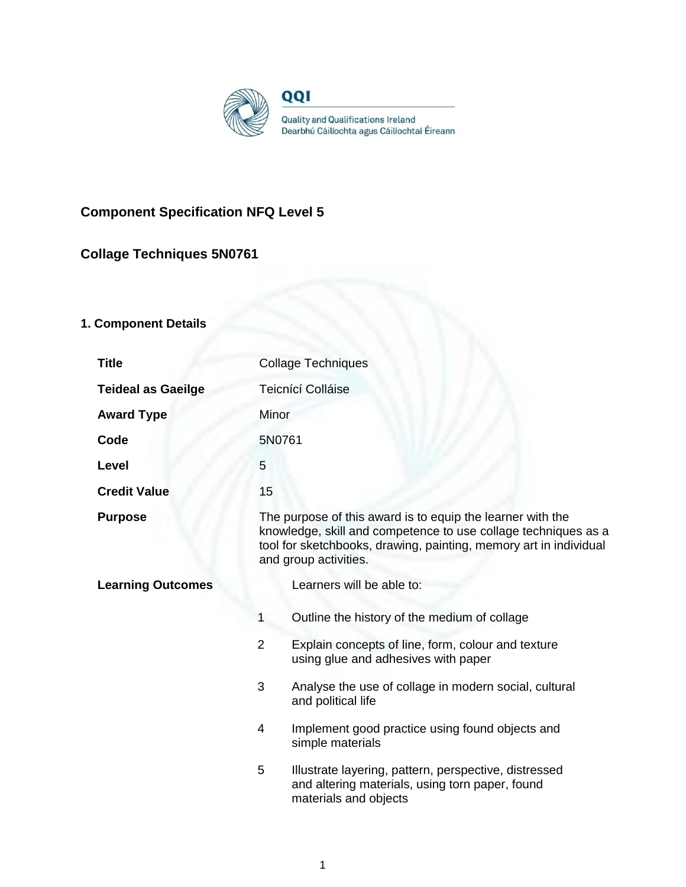

## **Component Specification NFQ Level 5**

## **Collage Techniques 5N0761**

# **1. Component Details**

| <b>Title</b>              | <b>Collage Techniques</b>                                                                                                                                                                                                  |                                                                                                                                   |
|---------------------------|----------------------------------------------------------------------------------------------------------------------------------------------------------------------------------------------------------------------------|-----------------------------------------------------------------------------------------------------------------------------------|
| <b>Teideal as Gaeilge</b> | Teicnící Colláise                                                                                                                                                                                                          |                                                                                                                                   |
| <b>Award Type</b>         | Minor                                                                                                                                                                                                                      |                                                                                                                                   |
| Code                      | 5N0761                                                                                                                                                                                                                     |                                                                                                                                   |
| Level                     | 5                                                                                                                                                                                                                          |                                                                                                                                   |
| <b>Credit Value</b>       | 15                                                                                                                                                                                                                         |                                                                                                                                   |
| <b>Purpose</b>            | The purpose of this award is to equip the learner with the<br>knowledge, skill and competence to use collage techniques as a<br>tool for sketchbooks, drawing, painting, memory art in individual<br>and group activities. |                                                                                                                                   |
| <b>Learning Outcomes</b>  |                                                                                                                                                                                                                            | Learners will be able to:                                                                                                         |
|                           | 1                                                                                                                                                                                                                          | Outline the history of the medium of collage                                                                                      |
|                           | $\overline{2}$                                                                                                                                                                                                             | Explain concepts of line, form, colour and texture<br>using glue and adhesives with paper                                         |
|                           | 3                                                                                                                                                                                                                          | Analyse the use of collage in modern social, cultural<br>and political life                                                       |
|                           | 4                                                                                                                                                                                                                          | Implement good practice using found objects and<br>simple materials                                                               |
|                           | 5                                                                                                                                                                                                                          | Illustrate layering, pattern, perspective, distressed<br>and altering materials, using torn paper, found<br>materials and objects |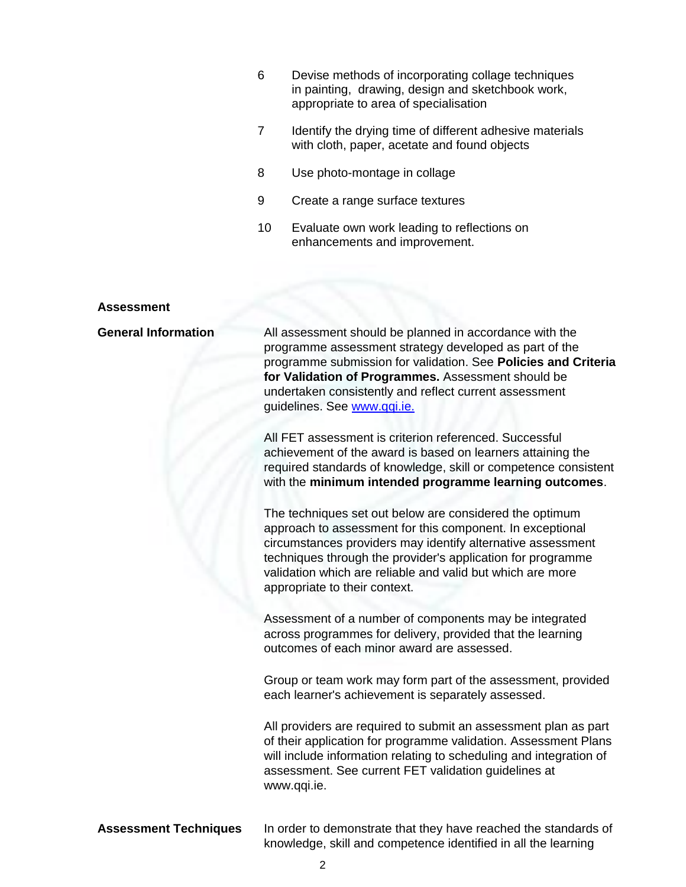- 6 Devise methods of incorporating collage techniques in painting, drawing, design and sketchbook work, appropriate to area of specialisation
- 7 Identify the drying time of different adhesive materials with cloth, paper, acetate and found objects
- 8 Use photo-montage in collage
- 9 Create a range surface textures
- 10 Evaluate own work leading to reflections on enhancements and improvement.

#### **Assessment**

| <b>General Information</b>   | All assessment should be planned in accordance with the<br>programme assessment strategy developed as part of the<br>programme submission for validation. See Policies and Criteria<br>for Validation of Programmes. Assessment should be<br>undertaken consistently and reflect current assessment<br>guidelines. See www.qqi.ie.                |
|------------------------------|---------------------------------------------------------------------------------------------------------------------------------------------------------------------------------------------------------------------------------------------------------------------------------------------------------------------------------------------------|
|                              | All FET assessment is criterion referenced. Successful<br>achievement of the award is based on learners attaining the<br>required standards of knowledge, skill or competence consistent<br>with the minimum intended programme learning outcomes.                                                                                                |
|                              | The techniques set out below are considered the optimum<br>approach to assessment for this component. In exceptional<br>circumstances providers may identify alternative assessment<br>techniques through the provider's application for programme<br>validation which are reliable and valid but which are more<br>appropriate to their context. |
|                              | Assessment of a number of components may be integrated<br>across programmes for delivery, provided that the learning<br>outcomes of each minor award are assessed.                                                                                                                                                                                |
|                              | Group or team work may form part of the assessment, provided<br>each learner's achievement is separately assessed.                                                                                                                                                                                                                                |
|                              | All providers are required to submit an assessment plan as part<br>of their application for programme validation. Assessment Plans<br>will include information relating to scheduling and integration of<br>assessment. See current FET validation guidelines at<br>www.qqi.ie.                                                                   |
| <b>Assessment Techniques</b> | In order to demonstrate that they have reached the standards of                                                                                                                                                                                                                                                                                   |

knowledge, skill and competence identified in all the learning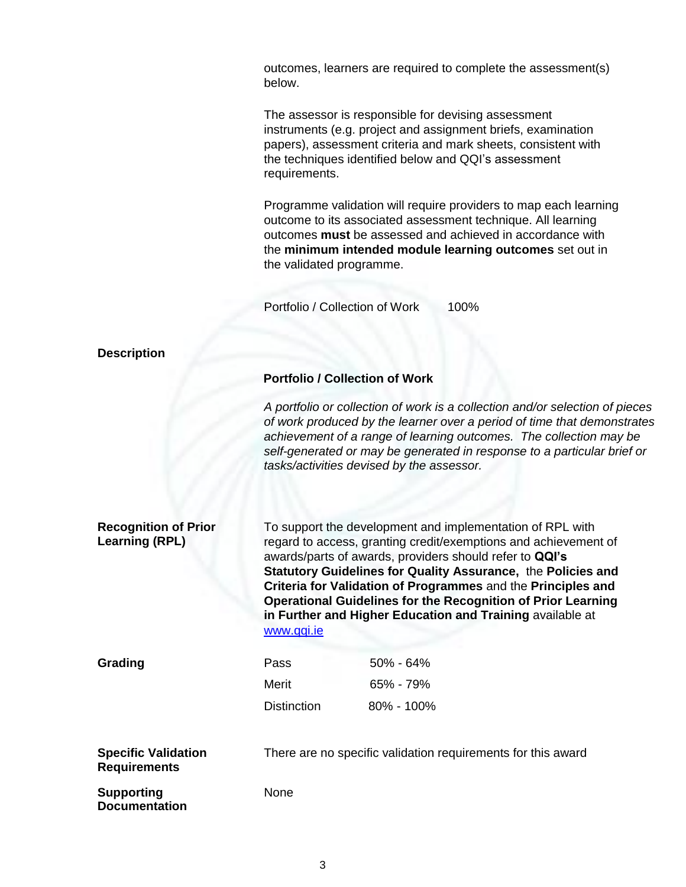outcomes, learners are required to complete the assessment(s) below.

The assessor is responsible for devising assessment instruments (e.g. project and assignment briefs, examination papers), assessment criteria and mark sheets, consistent with the techniques identified below and QQI's assessment requirements.

Programme validation will require providers to map each learning outcome to its associated assessment technique. All learning outcomes **must** be assessed and achieved in accordance with the **minimum intended module learning outcomes** set out in the validated programme.

Portfolio / Collection of Work 100%

| <b>Description</b>                                   |                                                                                                                                                                                                                                                                                                                                                                                                                                                                           |                                                                                                                                                                                                                                                                                                                                                       |  |  |
|------------------------------------------------------|---------------------------------------------------------------------------------------------------------------------------------------------------------------------------------------------------------------------------------------------------------------------------------------------------------------------------------------------------------------------------------------------------------------------------------------------------------------------------|-------------------------------------------------------------------------------------------------------------------------------------------------------------------------------------------------------------------------------------------------------------------------------------------------------------------------------------------------------|--|--|
|                                                      | <b>Portfolio / Collection of Work</b>                                                                                                                                                                                                                                                                                                                                                                                                                                     |                                                                                                                                                                                                                                                                                                                                                       |  |  |
|                                                      |                                                                                                                                                                                                                                                                                                                                                                                                                                                                           | A portfolio or collection of work is a collection and/or selection of pieces<br>of work produced by the learner over a period of time that demonstrates<br>achievement of a range of learning outcomes. The collection may be<br>self-generated or may be generated in response to a particular brief or<br>tasks/activities devised by the assessor. |  |  |
| <b>Recognition of Prior</b><br><b>Learning (RPL)</b> | To support the development and implementation of RPL with<br>regard to access, granting credit/exemptions and achievement of<br>awards/parts of awards, providers should refer to QQI's<br>Statutory Guidelines for Quality Assurance, the Policies and<br>Criteria for Validation of Programmes and the Principles and<br><b>Operational Guidelines for the Recognition of Prior Learning</b><br>in Further and Higher Education and Training available at<br>www.qqi.ie |                                                                                                                                                                                                                                                                                                                                                       |  |  |
| Grading                                              | Pass                                                                                                                                                                                                                                                                                                                                                                                                                                                                      | 50% - 64%                                                                                                                                                                                                                                                                                                                                             |  |  |
|                                                      | Merit                                                                                                                                                                                                                                                                                                                                                                                                                                                                     | 65% - 79%                                                                                                                                                                                                                                                                                                                                             |  |  |
|                                                      | <b>Distinction</b>                                                                                                                                                                                                                                                                                                                                                                                                                                                        | 80% - 100%                                                                                                                                                                                                                                                                                                                                            |  |  |
| <b>Specific Validation</b><br><b>Requirements</b>    |                                                                                                                                                                                                                                                                                                                                                                                                                                                                           | There are no specific validation requirements for this award                                                                                                                                                                                                                                                                                          |  |  |
| <b>Supporting</b><br><b>Documentation</b>            | None                                                                                                                                                                                                                                                                                                                                                                                                                                                                      |                                                                                                                                                                                                                                                                                                                                                       |  |  |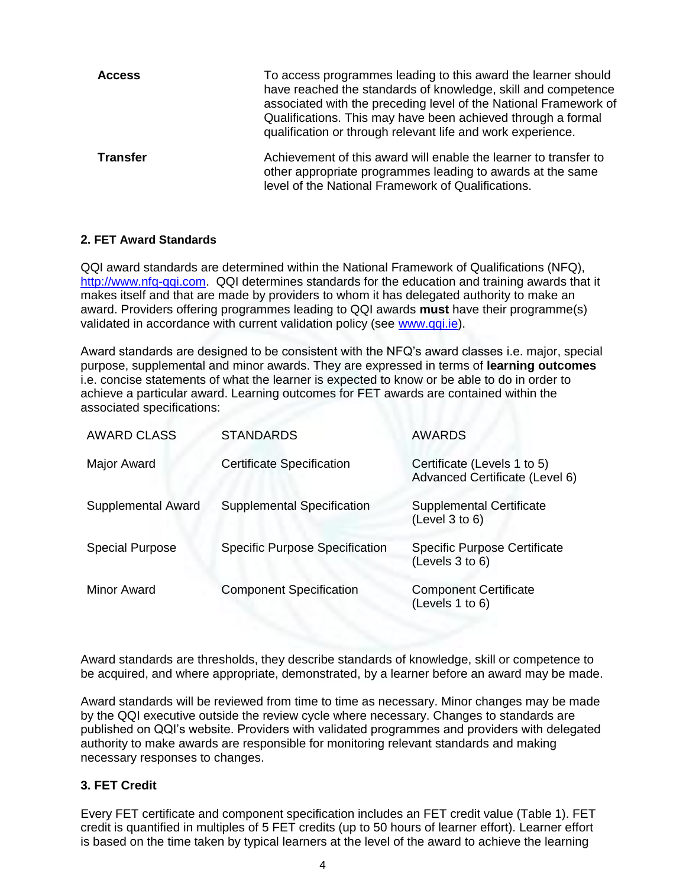| <b>Access</b>   | To access programmes leading to this award the learner should<br>have reached the standards of knowledge, skill and competence<br>associated with the preceding level of the National Framework of<br>Qualifications. This may have been achieved through a formal<br>qualification or through relevant life and work experience. |
|-----------------|-----------------------------------------------------------------------------------------------------------------------------------------------------------------------------------------------------------------------------------------------------------------------------------------------------------------------------------|
| <b>Transfer</b> | Achievement of this award will enable the learner to transfer to<br>other appropriate programmes leading to awards at the same<br>level of the National Framework of Qualifications.                                                                                                                                              |

### **2. FET Award Standards**

QQI award standards are determined within the National Framework of Qualifications (NFQ), [http://www.nfq-qqi.com.](http://www.nfq-qqi.com/) QQI determines standards for the education and training awards that it makes itself and that are made by providers to whom it has delegated authority to make an award. Providers offering programmes leading to QQI awards **must** have their programme(s) validated in accordance with current validation policy (see [www.qqi.ie\)](http://www.qqi.ie/).

Award standards are designed to be consistent with the NFQ's award classes i.e. major, special purpose, supplemental and minor awards. They are expressed in terms of **learning outcomes**  i.e. concise statements of what the learner is expected to know or be able to do in order to achieve a particular award. Learning outcomes for FET awards are contained within the associated specifications:

| <b>AWARD CLASS</b>        | <b>STANDARDS</b>                      | <b>AWARDS</b>                                                 |
|---------------------------|---------------------------------------|---------------------------------------------------------------|
| Major Award               | <b>Certificate Specification</b>      | Certificate (Levels 1 to 5)<br>Advanced Certificate (Level 6) |
| <b>Supplemental Award</b> | <b>Supplemental Specification</b>     | <b>Supplemental Certificate</b><br>(Level 3 to 6)             |
| <b>Special Purpose</b>    | <b>Specific Purpose Specification</b> | <b>Specific Purpose Certificate</b><br>(Levels 3 to 6)        |
| Minor Award               | <b>Component Specification</b>        | <b>Component Certificate</b><br>(Levels 1 to 6)               |

Award standards are thresholds, they describe standards of knowledge, skill or competence to be acquired, and where appropriate, demonstrated, by a learner before an award may be made.

Award standards will be reviewed from time to time as necessary. Minor changes may be made by the QQI executive outside the review cycle where necessary. Changes to standards are published on QQI's website. Providers with validated programmes and providers with delegated authority to make awards are responsible for monitoring relevant standards and making necessary responses to changes.

### **3. FET Credit**

Every FET certificate and component specification includes an FET credit value (Table 1). FET credit is quantified in multiples of 5 FET credits (up to 50 hours of learner effort). Learner effort is based on the time taken by typical learners at the level of the award to achieve the learning